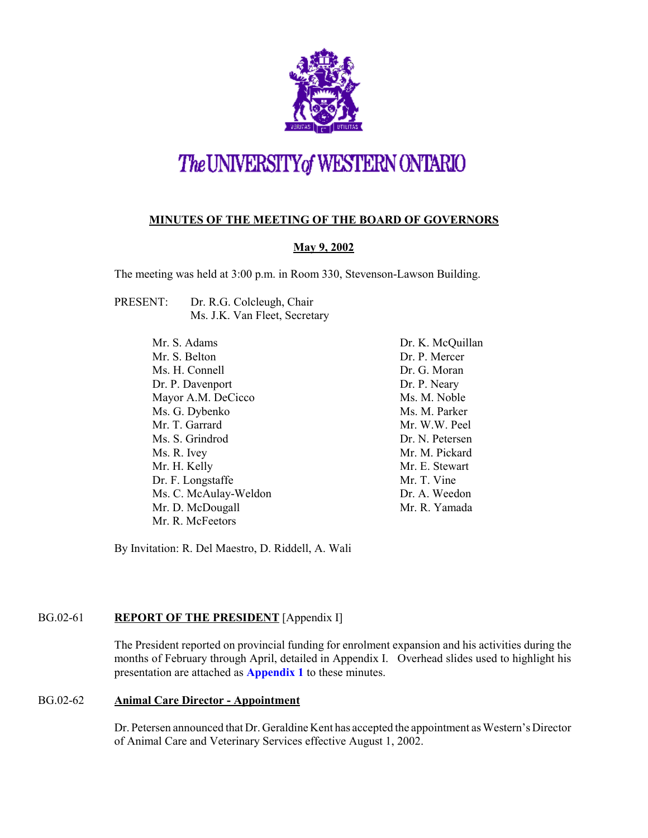

# The UNIVERSITY of WESTERN ONTARIO

# **MINUTES OF THE MEETING OF THE BOARD OF GOVERNORS**

# **May 9, 2002**

The meeting was held at 3:00 p.m. in Room 330, Stevenson-Lawson Building.

- PRESENT: Dr. R.G. Colcleugh, Chair Ms. J.K. Van Fleet, Secretary
	- Mr. S. Adams Mr. S. Belton Ms. H. Connell Dr. P. Davenport Mayor A.M. DeCicco Ms. G. Dybenko Mr. T. Garrard Ms. S. Grindrod Ms. R. Ivey Mr. H. Kelly Dr. F. Longstaffe Ms. C. McAulay-Weldon Mr. D. McDougall Mr. R. McFeetors

Dr. K. McQuillan Dr. P. Mercer Dr. G. Moran Dr. P. Neary Ms. M. Noble Ms. M. Parker Mr. W.W. Peel Dr. N. Petersen Mr. M. Pickard Mr. E. Stewart Mr. T. Vine Dr. A. Weedon Mr. R. Yamada

By Invitation: R. Del Maestro, D. Riddell, A. Wali

# BG.02-61 **REPORT OF THE PRESIDENT** [Appendix I]

The President reported on provincial funding for enrolment expansion and his activities during the months of February through April, detailed in Appendix I. Overhead slides used to highlight his presentation are attached as **[Appendix 1](#page-7-0)** to these minutes.

#### BG.02-62 **Animal Care Director - Appointment**

Dr. Petersen announced that Dr. Geraldine Kent has accepted the appointment as Western's Director of Animal Care and Veterinary Services effective August 1, 2002.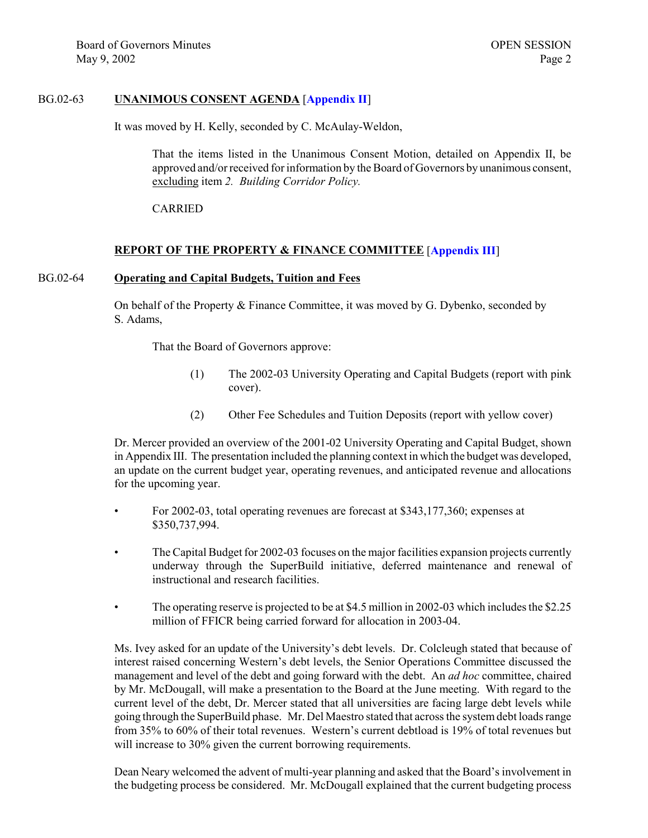#### BG.02-63 **UNANIMOUS CONSENT AGENDA** [**[Appendix II](http://www.uwo.ca/univsec/board/minutes/2002/r0205consent.pdf)**]

It was moved by H. Kelly, seconded by C. McAulay-Weldon,

That the items listed in the Unanimous Consent Motion, detailed on Appendix II, be approved and/or received for information by the Board of Governors by unanimous consent, excluding item *2. Building Corridor Policy.*

CARRIED

#### **REPORT OF THE PROPERTY & FINANCE COMMITTEE** [**[Appendix III](http://www.uwo.ca/univsec/board/minutes/2002/r0205pf.pdf)**]

#### BG.02-64 **Operating and Capital Budgets, Tuition and Fees**

On behalf of the Property & Finance Committee, it was moved by G. Dybenko, seconded by S. Adams,

That the Board of Governors approve:

- (1) The 2002-03 University Operating and Capital Budgets (report with pink cover).
- (2) Other Fee Schedules and Tuition Deposits (report with yellow cover)

Dr. Mercer provided an overview of the 2001-02 University Operating and Capital Budget, shown in Appendix III. The presentation included the planning context in which the budget was developed, an update on the current budget year, operating revenues, and anticipated revenue and allocations for the upcoming year.

- For 2002-03, total operating revenues are forecast at \$343,177,360; expenses at \$350,737,994.
- The Capital Budget for 2002-03 focuses on the major facilities expansion projects currently underway through the SuperBuild initiative, deferred maintenance and renewal of instructional and research facilities.
- The operating reserve is projected to be at \$4.5 million in 2002-03 which includes the \$2.25 million of FFICR being carried forward for allocation in 2003-04.

Ms. Ivey asked for an update of the University's debt levels. Dr. Colcleugh stated that because of interest raised concerning Western's debt levels, the Senior Operations Committee discussed the management and level of the debt and going forward with the debt. An *ad hoc* committee, chaired by Mr. McDougall, will make a presentation to the Board at the June meeting. With regard to the current level of the debt, Dr. Mercer stated that all universities are facing large debt levels while going through the SuperBuild phase. Mr. Del Maestro stated that across the system debt loads range from 35% to 60% of their total revenues. Western's current debtload is 19% of total revenues but will increase to 30% given the current borrowing requirements.

Dean Neary welcomed the advent of multi-year planning and asked that the Board's involvement in the budgeting process be considered. Mr. McDougall explained that the current budgeting process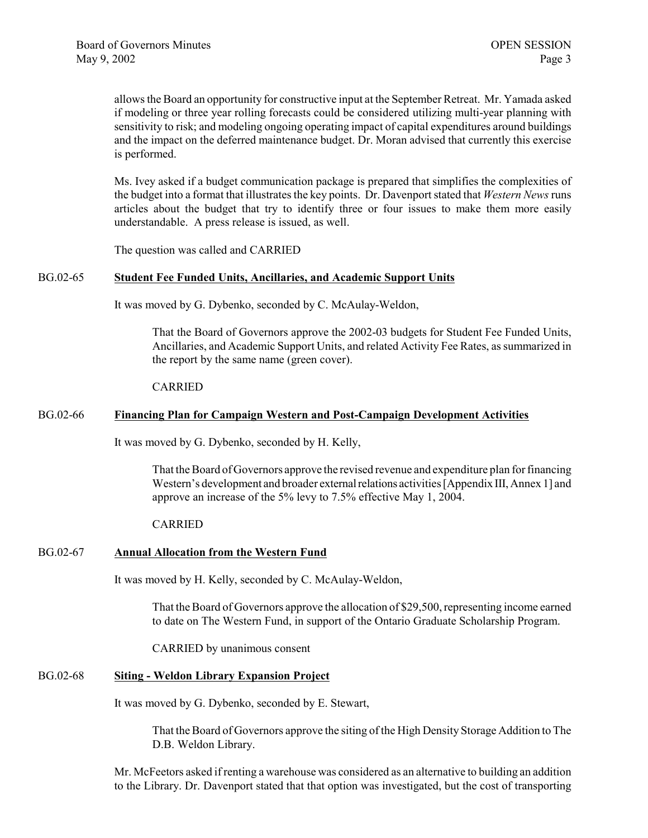allows the Board an opportunity for constructive input at the September Retreat. Mr. Yamada asked if modeling or three year rolling forecasts could be considered utilizing multi-year planning with sensitivity to risk; and modeling ongoing operating impact of capital expenditures around buildings and the impact on the deferred maintenance budget. Dr. Moran advised that currently this exercise is performed.

Ms. Ivey asked if a budget communication package is prepared that simplifies the complexities of the budget into a format that illustrates the key points. Dr. Davenport stated that *Western News* runs articles about the budget that try to identify three or four issues to make them more easily understandable. A press release is issued, as well.

The question was called and CARRIED

#### BG.02-65 **Student Fee Funded Units, Ancillaries, and Academic Support Units**

It was moved by G. Dybenko, seconded by C. McAulay-Weldon,

That the Board of Governors approve the 2002-03 budgets for Student Fee Funded Units, Ancillaries, and Academic Support Units, and related Activity Fee Rates, as summarized in the report by the same name (green cover).

#### CARRIED

#### BG.02-66 **Financing Plan for Campaign Western and Post-Campaign Development Activities**

It was moved by G. Dybenko, seconded by H. Kelly,

That the Board of Governors approve the revised revenue and expenditure plan for financing Western's development and broader external relations activities [Appendix III, Annex 1] and approve an increase of the 5% levy to 7.5% effective May 1, 2004.

#### CARRIED

#### BG.02-67 **Annual Allocation from the Western Fund**

It was moved by H. Kelly, seconded by C. McAulay-Weldon,

That the Board of Governors approve the allocation of \$29,500, representing income earned to date on The Western Fund, in support of the Ontario Graduate Scholarship Program.

CARRIED by unanimous consent

#### BG.02-68 **Siting - Weldon Library Expansion Project**

It was moved by G. Dybenko, seconded by E. Stewart,

That the Board of Governors approve the siting of the High Density Storage Addition to The D.B. Weldon Library.

Mr. McFeetors asked if renting a warehouse was considered as an alternative to building an addition to the Library. Dr. Davenport stated that that option was investigated, but the cost of transporting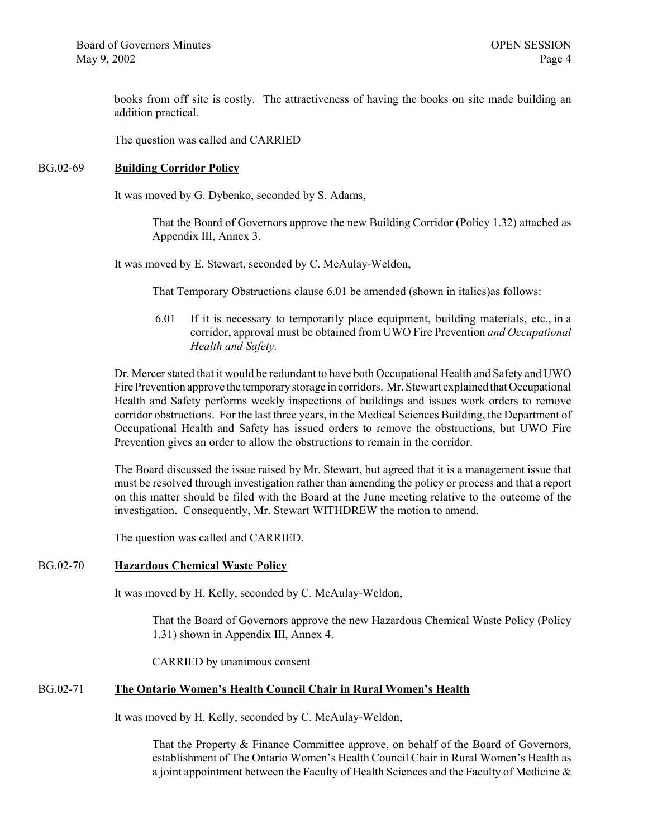books from off site is costly. The attractiveness of having the books on site made building an addition practical.

The question was called and CARRIED

#### BG.02-69 **Building Corridor Policy**

It was moved by G. Dybenko, seconded by S. Adams,

That the Board of Governors approve the new Building Corridor (Policy 1.32) attached as Appendix III, Annex 3.

It was moved by E. Stewart, seconded by C. McAulay-Weldon,

That Temporary Obstructions clause 6.01 be amended (shown in italics)as follows:

 6.01 If it is necessary to temporarily place equipment, building materials, etc., in a corridor, approval must be obtained from UWO Fire Prevention *and Occupational Health and Safety.*

Dr. Mercer stated that it would be redundant to have both Occupational Health and Safety and UWO Fire Prevention approve the temporary storage in corridors. Mr. Stewart explained that Occupational Health and Safety performs weekly inspections of buildings and issues work orders to remove corridor obstructions. For the last three years, in the Medical Sciences Building, the Department of Occupational Health and Safety has issued orders to remove the obstructions, but UWO Fire Prevention gives an order to allow the obstructions to remain in the corridor.

The Board discussed the issue raised by Mr. Stewart, but agreed that it is a management issue that must be resolved through investigation rather than amending the policy or process and that a report on this matter should be filed with the Board at the June meeting relative to the outcome of the investigation. Consequently, Mr. Stewart WITHDREW the motion to amend.

The question was called and CARRIED.

#### BG.02-70 **Hazardous Chemical Waste Policy**

It was moved by H. Kelly, seconded by C. McAulay-Weldon,

That the Board of Governors approve the new Hazardous Chemical Waste Policy (Policy 1.31) shown in Appendix III, Annex 4.

CARRIED by unanimous consent

#### BG.02-71 **The Ontario Women's Health Council Chair in Rural Women's Health**

It was moved by H. Kelly, seconded by C. McAulay-Weldon,

That the Property & Finance Committee approve, on behalf of the Board of Governors, establishment of The Ontario Women's Health Council Chair in Rural Women's Health as a joint appointment between the Faculty of Health Sciences and the Faculty of Medicine  $\&$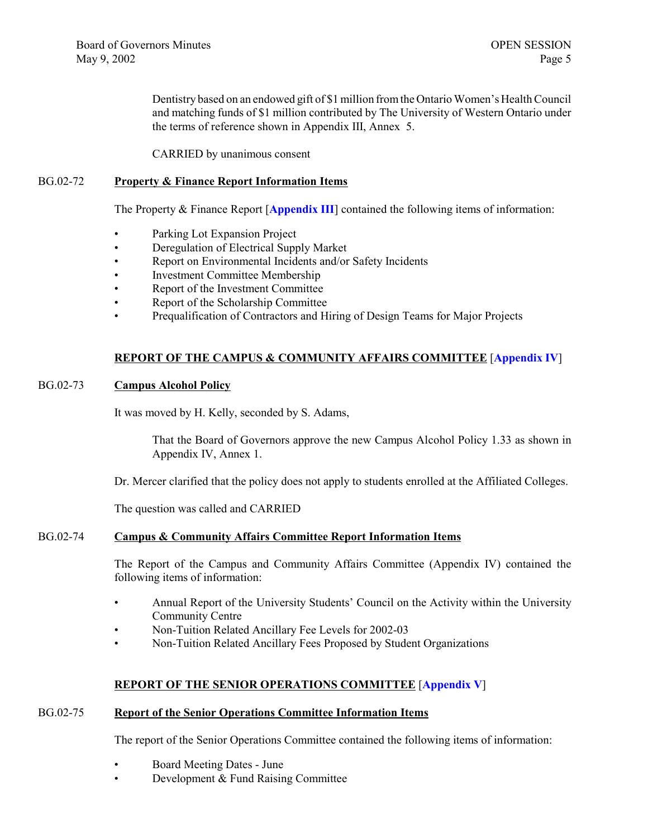Dentistry based on an endowed gift of \$1 million from the Ontario Women's Health Council and matching funds of \$1 million contributed by The University of Western Ontario under the terms of reference shown in Appendix III, Annex 5.

CARRIED by unanimous consent

#### BG.02-72 **Property & Finance Report Information Items**

The Property & Finance Report [[Appendix III](http://www.uwo.ca/univsec/board/minutes/2002/r0205pf.pdf)] contained the following items of information:

- Parking Lot Expansion Project
- Deregulation of Electrical Supply Market
- Report on Environmental Incidents and/or Safety Incidents
- Investment Committee Membership
- Report of the Investment Committee
- Report of the Scholarship Committee
- Prequalification of Contractors and Hiring of Design Teams for Major Projects

# **REPORT OF THE CAMPUS & COMMUNITY AFFAIRS COMMITTEE** [**[Appendix IV](http://www.uwo.ca/univsec/board/minutes/2002/r0205ccac.pdf)**]

#### BG.02-73 **Campus Alcohol Policy**

It was moved by H. Kelly, seconded by S. Adams,

That the Board of Governors approve the new Campus Alcohol Policy 1.33 as shown in Appendix IV, Annex 1.

Dr. Mercer clarified that the policy does not apply to students enrolled at the Affiliated Colleges.

The question was called and CARRIED

#### BG.02-74 **Campus & Community Affairs Committee Report Information Items**

The Report of the Campus and Community Affairs Committee (Appendix IV) contained the following items of information:

- Annual Report of the University Students' Council on the Activity within the University Community Centre
- Non-Tuition Related Ancillary Fee Levels for 2002-03
- Non-Tuition Related Ancillary Fees Proposed by Student Organizations

# **REPORT OF THE SENIOR OPERATIONS COMMITTEE** [**[Appendix V](http://www.uwo.ca/univsec/board/minutes/2002/r0205srops.pdf)**]

#### BG.02-75 **Report of the Senior Operations Committee Information Items**

The report of the Senior Operations Committee contained the following items of information:

- Board Meeting Dates June
- Development & Fund Raising Committee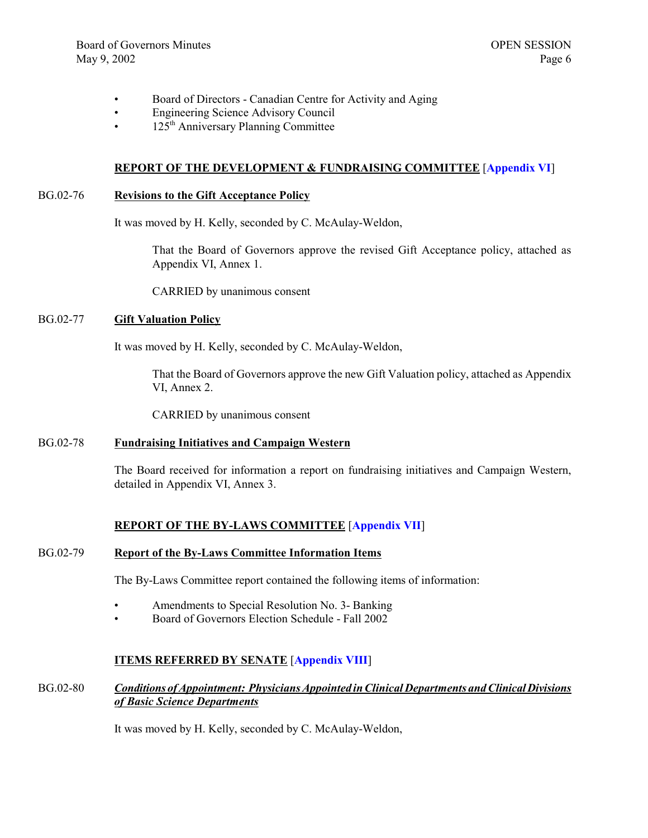- Board of Directors Canadian Centre for Activity and Aging
- Engineering Science Advisory Council
- 125<sup>th</sup> Anniversary Planning Committee

#### **REPORT OF THE DEVELOPMENT & FUNDRAISING COMMITTEE** [**[Appendix VI](http://www.uwo.ca/univsec/board/minutes/2002/r0205dev.pdf)**]

#### BG.02-76 **Revisions to the Gift Acceptance Policy**

It was moved by H. Kelly, seconded by C. McAulay-Weldon,

That the Board of Governors approve the revised Gift Acceptance policy, attached as Appendix VI, Annex 1.

CARRIED by unanimous consent

#### BG.02-77 **Gift Valuation Policy**

It was moved by H. Kelly, seconded by C. McAulay-Weldon,

That the Board of Governors approve the new Gift Valuation policy, attached as Appendix VI, Annex 2.

CARRIED by unanimous consent

#### BG.02-78 **Fundraising Initiatives and Campaign Western**

The Board received for information a report on fundraising initiatives and Campaign Western, detailed in Appendix VI, Annex 3.

#### **REPORT OF THE BY-LAWS COMMITTEE** [**[Appendix VII](http://www.uwo.ca/univsec/board/minutes/2002/r0205byl.pdf)**]

#### BG.02-79 **Report of the By-Laws Committee Information Items**

The By-Laws Committee report contained the following items of information:

- Amendments to Special Resolution No. 3- Banking
- Board of Governors Election Schedule Fall 2002

### **ITEMS REFERRED BY SENATE** [**[Appendix VIII](http://www.uwo.ca/univsec/board/minutes/2002/r0205sen.pdf)**]

#### BG.02-80 *Conditions of Appointment: Physicians Appointed in Clinical Departments and Clinical Divisions of Basic Science Departments*

It was moved by H. Kelly, seconded by C. McAulay-Weldon,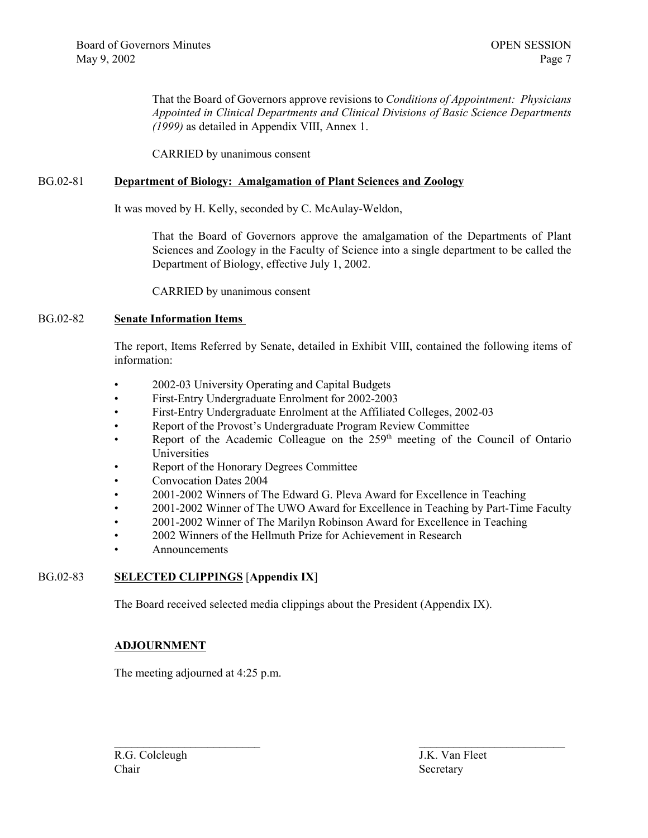That the Board of Governors approve revisions to *Conditions of Appointment: Physicians Appointed in Clinical Departments and Clinical Divisions of Basic Science Departments (1999)* as detailed in Appendix VIII, Annex 1.

CARRIED by unanimous consent

#### BG.02-81 **Department of Biology: Amalgamation of Plant Sciences and Zoology**

It was moved by H. Kelly, seconded by C. McAulay-Weldon,

That the Board of Governors approve the amalgamation of the Departments of Plant Sciences and Zoology in the Faculty of Science into a single department to be called the Department of Biology, effective July 1, 2002.

CARRIED by unanimous consent

#### BG.02-82 **Senate Information Items**

The report, Items Referred by Senate, detailed in Exhibit VIII, contained the following items of information:

- 2002-03 University Operating and Capital Budgets
- First-Entry Undergraduate Enrolment for 2002-2003
- First-Entry Undergraduate Enrolment at the Affiliated Colleges, 2002-03
- Report of the Provost's Undergraduate Program Review Committee
- Report of the Academic Colleague on the  $259<sup>th</sup>$  meeting of the Council of Ontario Universities
- Report of the Honorary Degrees Committee
- Convocation Dates 2004
- 2001-2002 Winners of The Edward G. Pleva Award for Excellence in Teaching
- 2001-2002 Winner of The UWO Award for Excellence in Teaching by Part-Time Faculty

 $\mathcal{L}_\text{max}$  and the contract of the contract of the contract of the contract of the contract of the contract of the contract of the contract of the contract of the contract of the contract of the contract of the contrac

- 2001-2002 Winner of The Marilyn Robinson Award for Excellence in Teaching
- 2002 Winners of the Hellmuth Prize for Achievement in Research
- Announcements

# BG.02-83 **SELECTED CLIPPINGS** [**Appendix IX**]

The Board received selected media clippings about the President (Appendix IX).

#### **ADJOURNMENT**

The meeting adjourned at 4:25 p.m.

R.G. Colcleugh J.K. Van Fleet Chair Secretary Secretary